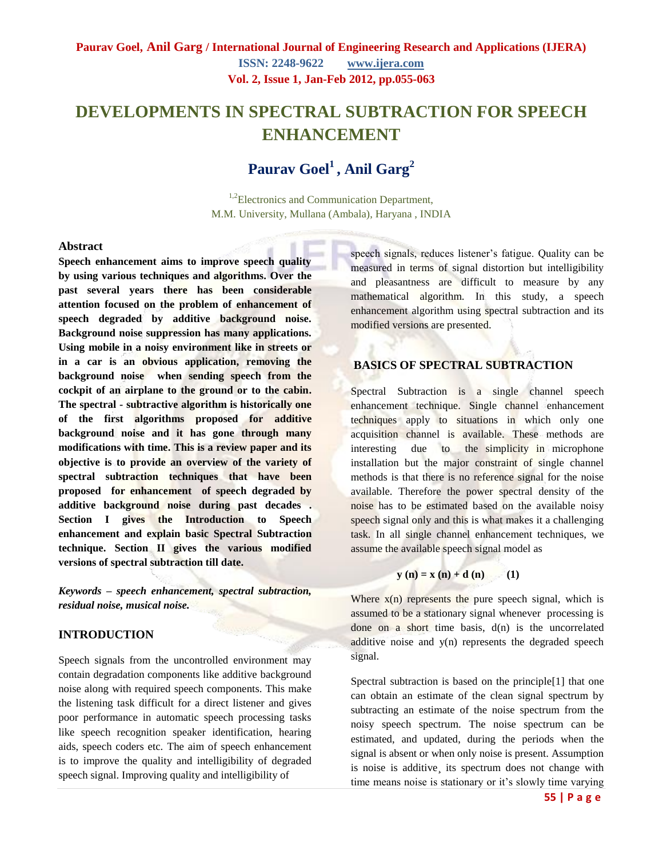# **DEVELOPMENTS IN SPECTRAL SUBTRACTION FOR SPEECH ENHANCEMENT**

# **Paurav Goel<sup>1</sup>, Anil Garg<sup>2</sup>**

<sup>1,2</sup>Electronics and Communication Department, M.M. University, Mullana (Ambala), Haryana , INDIA

#### **Abstract**

**Speech enhancement aims to improve speech quality by using various techniques and algorithms. Over the past several years there has been considerable attention focused on the problem of enhancement of speech degraded by additive background noise. Background noise suppression has many applications. Using mobile in a noisy environment like in streets or in a car is an obvious application, removing the background noise when sending speech from the cockpit of an airplane to the ground or to the cabin. The spectral - subtractive algorithm is historically one of the first algorithms proposed for additive background noise and it has gone through many modifications with time. This is a review paper and its objective is to provide an overview of the variety of spectral subtraction techniques that have been proposed for enhancement of speech degraded by additive background noise during past decades . Section I gives the Introduction to Speech enhancement and explain basic Spectral Subtraction technique. Section II gives the various modified versions of spectral subtraction till date.**

*Keywords – speech enhancement, spectral subtraction, residual noise, musical noise.*

#### **INTRODUCTION**

Speech signals from the uncontrolled environment may contain degradation components like additive background noise along with required speech components. This make the listening task difficult for a direct listener and gives poor performance in automatic speech processing tasks like speech recognition speaker identification, hearing aids, speech coders etc. The aim of speech enhancement is to improve the quality and intelligibility of degraded speech signal. Improving quality and intelligibility of

speech signals, reduces listener's fatigue. Quality can be measured in terms of signal distortion but intelligibility and pleasantness are difficult to measure by any mathematical algorithm. In this study, a speech enhancement algorithm using spectral subtraction and its modified versions are presented.

## **BASICS OF SPECTRAL SUBTRACTION**

Spectral Subtraction is a single channel speech enhancement technique. Single channel enhancement techniques apply to situations in which only one acquisition channel is available. These methods are interesting due to the simplicity in microphone installation but the major constraint of single channel methods is that there is no reference signal for the noise available. Therefore the power spectral density of the noise has to be estimated based on the available noisy speech signal only and this is what makes it a challenging task. In all single channel enhancement techniques, we assume the available speech signal model as

$$
\mathbf{y}(\mathbf{n}) = \mathbf{x}(\mathbf{n}) + \mathbf{d}(\mathbf{n}) \tag{1}
$$

Where  $x(n)$  represents the pure speech signal, which is assumed to be a stationary signal whenever processing is done on a short time basis,  $d(n)$  is the uncorrelated additive noise and y(n) represents the degraded speech signal.

Spectral subtraction is based on the principle[1] that one can obtain an estimate of the clean signal spectrum by subtracting an estimate of the noise spectrum from the noisy speech spectrum. The noise spectrum can be estimated, and updated, during the periods when the signal is absent or when only noise is present. Assumption is noise is additive, its spectrum does not change with time means noise is stationary or it's slowly time varying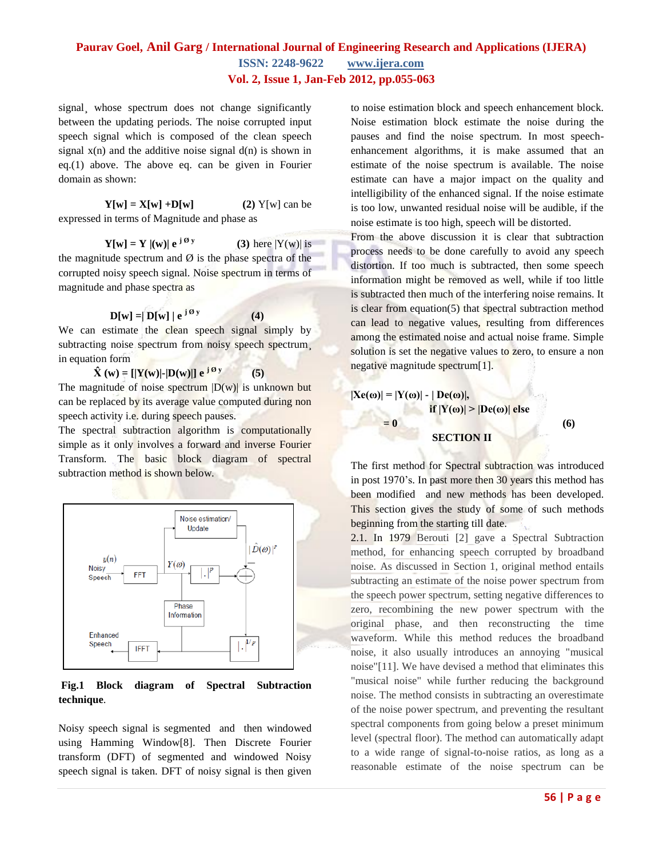signal, whose spectrum does not change significantly between the updating periods. The noise corrupted input speech signal which is composed of the clean speech signal  $x(n)$  and the additive noise signal  $d(n)$  is shown in eq.(1) above. The above eq. can be given in Fourier domain as shown:

 $Y[w] = X[w] + D[w]$  (2)  $Y[w]$  can be expressed in terms of Magnitude and phase as

 $Y[w] = Y |(w)| e^{j \theta y}$ **(3)** here  $|Y(w)|$  is the magnitude spectrum and  $\emptyset$  is the phase spectra of the corrupted noisy speech signal. Noise spectrum in terms of magnitude and phase spectra as

 $\mathbf{D}[\mathbf{w}] = |\mathbf{D}[\mathbf{w}]| \mathbf{e}^{\mathbf{j} \mathcal{O} \mathbf{y}}$ 

We can estimate the clean speech signal simply by subtracting noise spectrum from noisy speech spectrum, in equation form

 **(4)**

 $\hat{\mathbf{X}}(\mathbf{w}) = [|\mathbf{Y}(\mathbf{w})| - |\mathbf{D}(\mathbf{w})|] e^{j \mathbf{\Theta} \mathbf{y}}$  **(5)** The magnitude of noise spectrum  $|D(w)|$  is unknown but can be replaced by its average value computed during non speech activity i.e. during speech pauses.

The spectral subtraction algorithm is computationally simple as it only involves a forward and inverse Fourier Transform. The basic block diagram of spectral subtraction method is shown below.



#### **Fig.1 Block diagram of Spectral Subtraction technique**.

Noisy speech signal is segmented and then windowed using Hamming Window[8]. Then Discrete Fourier transform (DFT) of segmented and windowed Noisy speech signal is taken. DFT of noisy signal is then given

to noise estimation block and speech enhancement block. Noise estimation block estimate the noise during the pauses and find the noise spectrum. In most speechenhancement algorithms, it is make assumed that an estimate of the noise spectrum is available. The noise estimate can have a major impact on the quality and intelligibility of the enhanced signal. If the noise estimate is too low, unwanted residual noise will be audible, if the noise estimate is too high, speech will be distorted.

From the above discussion it is clear that subtraction process needs to be done carefully to avoid any speech distortion. If too much is subtracted, then some speech information might be removed as well, while if too little is subtracted then much of the interfering noise remains. It is clear from equation( $5$ ) that spectral subtraction method can lead to negative values, resulting from differences among the estimated noise and actual noise frame. Simple solution is set the negative values to zero, to ensure a non negative magnitude spectrum[1].

$$
|\mathbf{X}\mathbf{e}(\omega)| = |\mathbf{Y}(\omega)| - |\mathbf{D}\mathbf{e}(\omega)|,
$$
  
if  $|\mathbf{Y}(\omega)| > |\mathbf{D}\mathbf{e}(\omega)|$  else

 $= 0$  (6)

#### **SECTION II**

The first method for Spectral subtraction was introduced in post 1970's. In past more then 30 years this method has been modified and new methods has been developed. This section gives the study of some of such methods beginning from the starting till date.

2.1. In 1979 Berouti [2] gave a Spectral Subtraction method, for enhancing speech corrupted by broadband noise. As discussed in Section 1, original method entails subtracting an estimate of the noise power spectrum from the speech power spectrum, setting negative differences to zero, recombining the new power spectrum with the original phase, and then reconstructing the time waveform. While this method reduces the broadband noise, it also usually introduces an annoying "musical noise"[11]. We have devised a method that eliminates this "musical noise" while further reducing the background noise. The method consists in subtracting an overestimate of the noise power spectrum, and preventing the resultant spectral components from going below a preset minimum level (spectral floor). The method can automatically adapt to a wide range of signal-to-noise ratios, as long as a reasonable estimate of the noise spectrum can be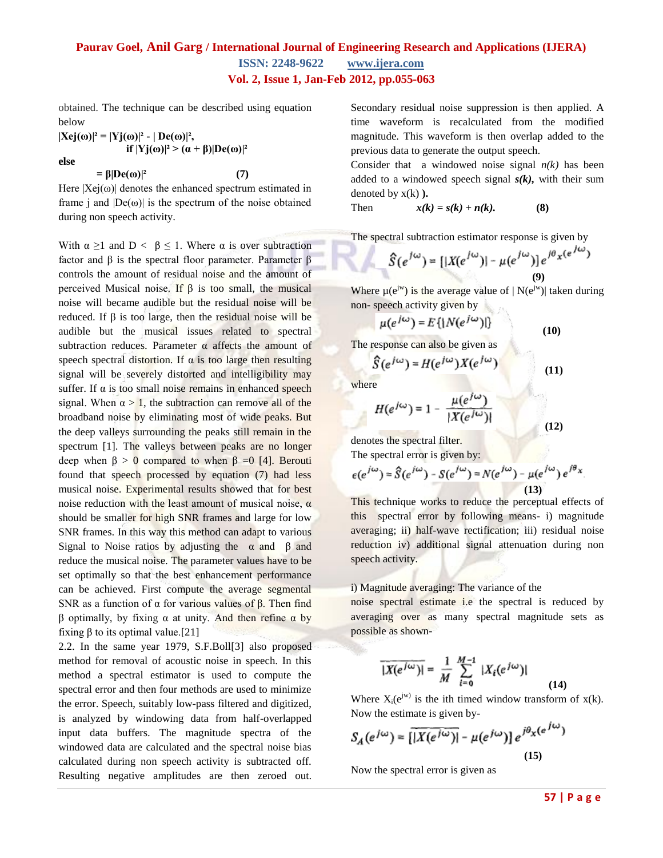obtained. The technique can be described using equation below

 $|Xej(\omega)|^2 = |Yj(\omega)|^2 - |De(\omega)|^2$ , **if**  $|Yj(\omega)|^2$  >  $(\alpha + \beta)|De(\omega)|^2$ 

**else**

 $= \beta |De(\omega)|^2$  (7)

Here  $|Xe(i\omega)|$  denotes the enhanced spectrum estimated in frame j and  $|De(\omega)|$  is the spectrum of the noise obtained during non speech activity.

With  $\alpha \geq 1$  and  $D < \beta \leq 1$ . Where  $\alpha$  is over subtraction factor and β is the spectral floor parameter. Parameter β controls the amount of residual noise and the amount of perceived Musical noise. If β is too small, the musical noise will became audible but the residual noise will be reduced. If β is too large, then the residual noise will be audible but the musical issues related to spectral subtraction reduces. Parameter  $\alpha$  affects the amount of speech spectral distortion. If  $\alpha$  is too large then resulting signal will be severely distorted and intelligibility may suffer. If  $\alpha$  is too small noise remains in enhanced speech signal. When  $\alpha > 1$ , the subtraction can remove all of the broadband noise by eliminating most of wide peaks. But the deep valleys surrounding the peaks still remain in the spectrum [1]. The valleys between peaks are no longer deep when  $\beta > 0$  compared to when  $\beta = 0$  [4]. Berouti found that speech processed by equation (7) had less musical noise. Experimental results showed that for best noise reduction with the least amount of musical noise,  $α$ should be smaller for high SNR frames and large for low SNR frames. In this way this method can adapt to various Signal to Noise ratios by adjusting the  $\alpha$  and  $\beta$  and reduce the musical noise. The parameter values have to be set optimally so that the best enhancement performance can be achieved. First compute the average segmental SNR as a function of  $\alpha$  for various values of  $\beta$ . Then find β optimally, by fixing α at unity. And then refine α by fixing β to its optimal value.[21]

2.2. In the same year 1979, S.F.Boll[3] also proposed method for removal of acoustic noise in speech. In this method a spectral estimator is used to compute the spectral error and then four methods are used to minimize the error. Speech, suitably low-pass filtered and digitized, is analyzed by windowing data from half-overlapped input data buffers. The magnitude spectra of the windowed data are calculated and the spectral noise bias calculated during non speech activity is subtracted off. Resulting negative amplitudes are then zeroed out. Secondary residual noise suppression is then applied. A time waveform is recalculated from the modified magnitude. This waveform is then overlap added to the previous data to generate the output speech.

Consider that a windowed noise signal  $n(k)$  has been added to a windowed speech signal *s(k),* with their sum denoted by x(k) **).**

Then  $x(k) = s(k) + n(k).$  (8)

The spectral subtraction estimator response is given by

$$
\hat{S}(e^{j\omega}) = [|X(e^{j\omega})| - \mu(e^{j\omega})]e^{j\theta_X(e^{j\omega})}
$$
\n(9)

Where  $\mu(e^{jw})$  is the average value of  $|N(e^{jw})|$  taken during non- speech activity given by

$$
\mu(e^{j\omega}) = E\{|N(e^{j\omega})|\}\tag{10}
$$

The response can also be given as

$$
\hat{S}(e^{j\omega}) = H(e^{j\omega})X(e^{j\omega}) \tag{11}
$$

where

$$
H(e^{j\omega}) = 1 - \frac{\mu(e^{j\omega})}{|X(e^{j\omega})|}
$$
(12)

denotes the spectral filter.

The spectral error is given by:

$$
e(e^{j\omega}) = \hat{S}(e^{j\omega}) - S(e^{j\omega}) = N(e^{j\omega}) - \mu(e^{j\omega})e^{j\theta_x}
$$
\n(13)

This technique works to reduce the perceptual effects of this spectral error by following means- i) magnitude averaging; ii) half-wave rectification; iii) residual noise reduction iv) additional signal attenuation during non speech activity.

#### i) Magnitude averaging: The variance of the

noise spectral estimate i.e the spectral is reduced by averaging over as many spectral magnitude sets as possible as shown-

$$
\overline{|X(e^{j\omega})|} = \frac{1}{M} \sum_{i=0}^{M-1} |X_i(e^{j\omega})|
$$
 (14)

Where  $X_i(e^{jw})$  is the ith timed window transform of  $x(k)$ . Now the estimate is given by-

$$
S_A(e^{j\omega}) = \overline{\left[|X(e^{j\omega})|} - \mu(e^{j\omega})\right]} e^{j\theta_X(e^{j\omega})}
$$
\n(15)

Now the spectral error is given as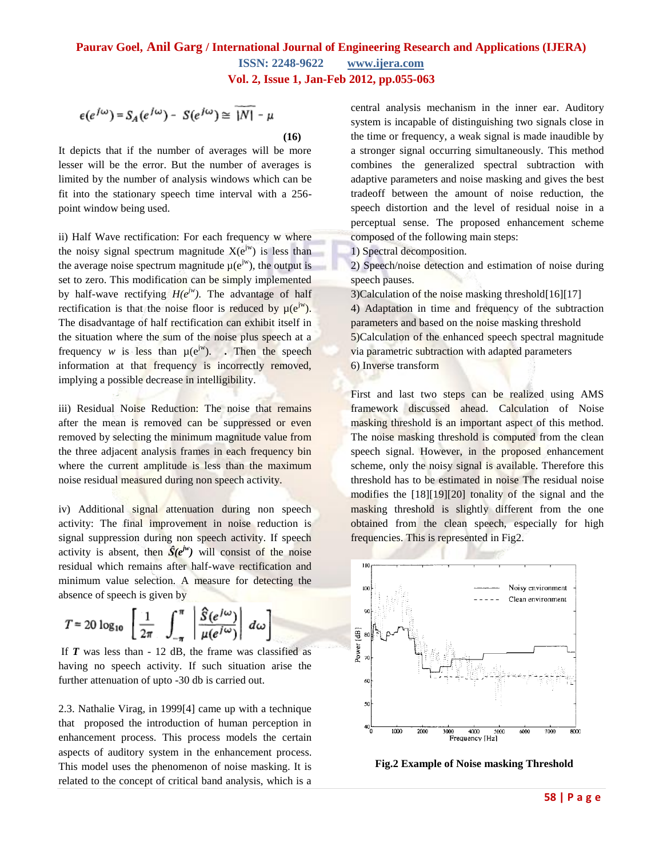$$
\epsilon(e^{j\omega}) = S_A(e^{j\omega}) - S(e^{j\omega}) \cong \overline{|N|} - \mu
$$
\n(16)

It depicts that if the number of averages will be more lesser will be the error. But the number of averages is limited by the number of analysis windows which can be fit into the stationary speech time interval with a 256 point window being used.

ii) Half Wave rectification: For each frequency w where the noisy signal spectrum magnitude  $X(e^{jw})$  is less than the average noise spectrum magnitude  $\mu(e^{jw})$ , the output is set to zero. This modification can be simply implemented by half-wave rectifying  $H(e^{jw})$ . The advantage of half rectification is that the noise floor is reduced by  $\mu(e^{jw})$ . The disadvantage of half rectification can exhibit itself in the situation where the sum of the noise plus speech at a frequency *w* is less than  $\mu(e^{jw})$ . Then the speech information at that frequency is incorrectly removed, implying a possible decrease in intelligibility.

iii) Residual Noise Reduction: The noise that remains after the mean is removed can be suppressed or even removed by selecting the minimum magnitude value from the three adjacent analysis frames in each frequency bin where the current amplitude is less than the maximum noise residual measured during non speech activity.

iv) Additional signal attenuation during non speech activity: The final improvement in noise reduction is signal suppression during non speech activity. If speech activity is absent, then  $\hat{S}(e^{jw})$  will consist of the noise residual which remains after half-wave rectification and minimum value selection. A measure for detecting the absence of speech is given by

$$
T = 20 \log_{10} \left[ \frac{1}{2\pi} \int_{-\pi}^{\pi} \left| \frac{\hat{S}(e^{j\omega})}{\mu(e^{j\omega})} \right| d\omega \right]
$$

If *T* was less than - 12 dB, the frame was classified as having no speech activity. If such situation arise the further attenuation of upto -30 db is carried out.

2.3. Nathalie Virag, in 1999[4] came up with a technique that proposed the introduction of human perception in enhancement process. This process models the certain aspects of auditory system in the enhancement process. This model uses the phenomenon of noise masking. It is related to the concept of critical band analysis, which is a

central analysis mechanism in the inner ear. Auditory system is incapable of distinguishing two signals close in the time or frequency, a weak signal is made inaudible by a stronger signal occurring simultaneously. This method combines the generalized spectral subtraction with adaptive parameters and noise masking and gives the best tradeoff between the amount of noise reduction, the speech distortion and the level of residual noise in a perceptual sense. The proposed enhancement scheme composed of the following main steps:

1) Spectral decomposition.

2) Speech/noise detection and estimation of noise during speech pauses.

3)Calculation of the noise masking threshold[16][17] 4) Adaptation in time and frequency of the subtraction parameters and based on the noise masking threshold 5)Calculation of the enhanced speech spectral magnitude via parametric subtraction with adapted parameters 6) Inverse transform

First and last two steps can be realized using AMS framework discussed ahead. Calculation of Noise masking threshold is an important aspect of this method. The noise masking threshold is computed from the clean speech signal. However, in the proposed enhancement scheme, only the noisy signal is available. Therefore this threshold has to be estimated in noise The residual noise modifies the [18][19][20] tonality of the signal and the masking threshold is slightly different from the one obtained from the clean speech, especially for high frequencies. This is represented in Fig2.



 **Fig.2 Example of Noise masking Threshold**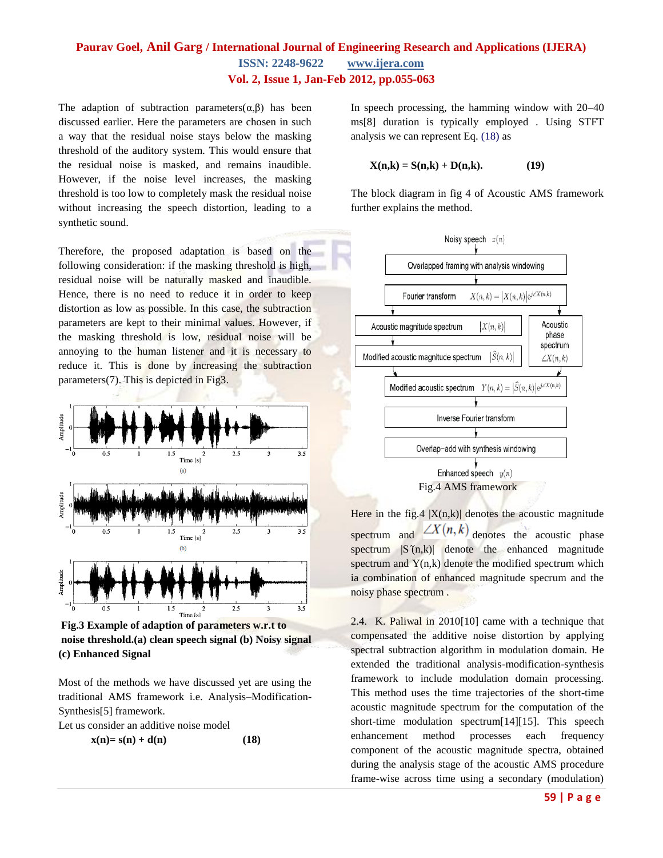The adaption of subtraction parameters $(\alpha, \beta)$  has been discussed earlier. Here the parameters are chosen in such a way that the residual noise stays below the masking threshold of the auditory system. This would ensure that the residual noise is masked, and remains inaudible. However, if the noise level increases, the masking threshold is too low to completely mask the residual noise without increasing the speech distortion, leading to a synthetic sound.

Therefore, the proposed adaptation is based on the following consideration: if the masking threshold is high, residual noise will be naturally masked and inaudible. Hence, there is no need to reduce it in order to keep distortion as low as possible. In this case, the subtraction parameters are kept to their minimal values. However, if the masking threshold is low, residual noise will be annoying to the human listener and it is necessary to reduce it. This is done by increasing the subtraction parameters(7). This is depicted in Fig3.



**Fig.3 Example of adaption of parameters w.r.t to noise threshold.(a) clean speech signal (b) Noisy signal (c) Enhanced Signal**

Most of the methods we have discussed yet are using the traditional AMS framework i.e. Analysis–Modification-Synthesis[5] framework.

Let us consider an additive noise model

$$
\mathbf{x(n)} = \mathbf{s(n)} + \mathbf{d(n)} \tag{18}
$$

In speech processing, the hamming window with 20–40 ms[8] duration is typically employed . Using STFT analysis we can represent Eq. (18) as

$$
\mathbf{X(n,k)} = \mathbf{S(n,k)} + \mathbf{D(n,k)}.
$$
 (19)

The block diagram in fig 4 of Acoustic AMS framework further explains the method.



Here in the fig.4  $|X(n,k)|$  denotes the acoustic magnitude spectrum and  $\angle X(n,k)$  denotes the acoustic phase spectrum  $|S(\eta,k)|$  denote the enhanced magnitude spectrum and  $Y(n,k)$  denote the modified spectrum which ia combination of enhanced magnitude specrum and the noisy phase spectrum .

2.4. K. Paliwal in 2010[10] came with a technique that compensated the additive noise distortion by applying spectral subtraction algorithm in modulation domain. He extended the traditional analysis-modification-synthesis framework to include modulation domain processing. This method uses the time trajectories of the short-time acoustic magnitude spectrum for the computation of the short-time modulation spectrum[14][15]. This speech enhancement method processes each frequency component of the acoustic magnitude spectra, obtained during the analysis stage of the acoustic AMS procedure frame-wise across time using a secondary (modulation)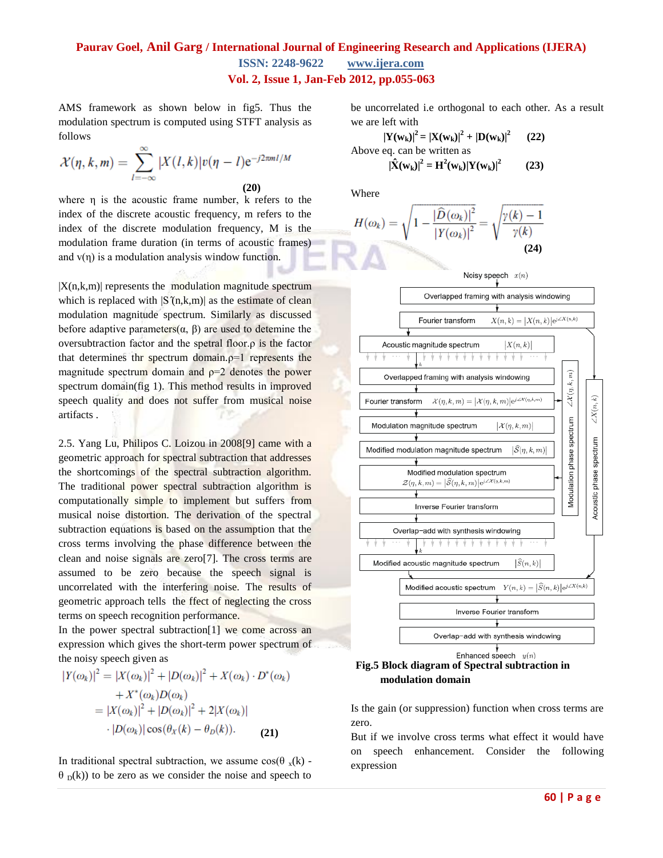AMS framework as shown below in fig5. Thus the modulation spectrum is computed using STFT analysis as follows

$$
\mathcal{X}(\eta,k,m) = \sum_{l=-\infty}^{\infty} |X(l,k)| v(\eta-l) e^{-j2\pi ml/M}
$$
\n(20)

where η is the acoustic frame number, k refers to the index of the discrete acoustic frequency, m refers to the index of the discrete modulation frequency, M is the modulation frame duration (in terms of acoustic frames) and  $v(\eta)$  is a modulation analysis window function.

 $|X(n,k,m)|$  represents the modulation magnitude spectrum which is replaced with  $|S(n,k,m)|$  as the estimate of clean modulation magnitude spectrum. Similarly as discussed before adaptive parameters( $\alpha$ ,  $\beta$ ) are used to detemine the oversubtraction factor and the spetral floor.ρ is the factor that determines thr spectrum domain. $p=1$  represents the magnitude spectrum domain and  $p=2$  denotes the power spectrum domain(fig 1). This method results in improved speech quality and does not suffer from musical noise artifacts .

2.5. Yang Lu, Philipos C. Loizou in 2008[9] came with a geometric approach for spectral subtraction that addresses the shortcomings of the spectral subtraction algorithm. The traditional power spectral subtraction algorithm is computationally simple to implement but suffers from musical noise distortion. The derivation of the spectral subtraction equations is based on the assumption that the cross terms involving the phase difference between the clean and noise signals are zero[7]. The cross terms are assumed to be zero because the speech signal is uncorrelated with the interfering noise. The results of geometric approach tells the ffect of neglecting the cross terms on speech recognition performance.

In the power spectral subtraction<sup>[1]</sup> we come across an expression which gives the short-term power spectrum of the noisy speech given as

$$
|Y(\omega_k)|^2 = |X(\omega_k)|^2 + |D(\omega_k)|^2 + X(\omega_k) \cdot D^*(\omega_k)
$$
  
+  $X^*(\omega_k)D(\omega_k)$   
=  $|X(\omega_k)|^2 + |D(\omega_k)|^2 + 2|X(\omega_k)|$   
 $\cdot |D(\omega_k)| \cos(\theta_X(k) - \theta_D(k)).$  (21)

In traditional spectral subtraction, we assume  $cos(\theta_x(k))$  - $\theta_{\rm D}(k)$  to be zero as we consider the noise and speech to be uncorrelated i.e orthogonal to each other. As a result we are left with

$$
|\mathbf{Y}(\mathbf{w}_{k})|^2 = |\mathbf{X}(\mathbf{w}_{k})|^2 + |\mathbf{D}(\mathbf{w}_{k})|^2
$$
 (22)  
Above eq. can be written as  

$$
|\hat{\mathbf{X}}(\mathbf{w}_{k})|^2 = \mathbf{H}^2(\mathbf{w}_{k}) |\mathbf{Y}(\mathbf{w}_{k})|^2
$$
 (23)

Where

$$
H(\omega_k) = \sqrt{1 - \frac{|\widehat{D}(\omega_k)|^2}{|Y(\omega_k)|^2}} = \sqrt{\frac{\gamma(k) - 1}{\gamma(k)}}
$$
\n(24)



#### **Fig.5 Block diagram of Spectral subtraction in modulation domain**

Is the gain (or suppression) function when cross terms are zero.

But if we involve cross terms what effect it would have on speech enhancement. Consider the following expression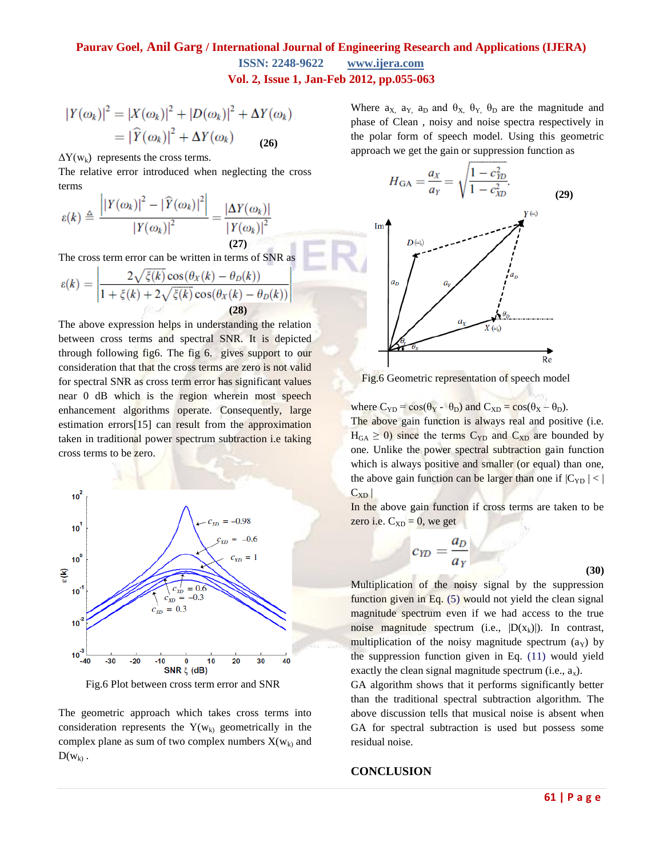## **Paurav Goel, Anil Garg / International Journal of Engineering Research and Applications (IJERA) ISSN: 2248-9622 www.ijera.com**

**Vol. 2, Issue 1, Jan-Feb 2012, pp.055-063**

$$
|Y(\omega_k)|^2 = |X(\omega_k)|^2 + |D(\omega_k)|^2 + \Delta Y(\omega_k)
$$
  
=  $|\widehat{Y}(\omega_k)|^2 + \Delta Y(\omega_k)$  (26)

 $\Delta Y(w_k)$  represents the cross terms.

The relative error introduced when neglecting the cross terms

$$
\varepsilon(k) \triangleq \frac{\left| \left| Y(\omega_k) \right|^2 - \left| \widehat{Y}(\omega_k) \right|^2 \right|}{\left| Y(\omega_k) \right|^2} = \frac{\left| \Delta Y(\omega_k) \right|}{\left| Y(\omega_k) \right|^2}
$$
\n(27)

The cross term error can be written in terms of SNR as

$$
\varepsilon(k) = \left| \frac{2\sqrt{\xi(k)}\cos(\theta_X(k) - \theta_D(k))}{1 + \xi(k) + 2\sqrt{\xi(k)}\cos(\theta_X(k) - \theta_D(k))} \right|
$$
\n(28)

The above expression helps in understanding the relation between cross terms and spectral SNR. It is depicted through following fig6. The fig 6. gives support to our consideration that that the cross terms are zero is not valid for spectral SNR as cross term error has significant values near 0 dB which is the region wherein most speech enhancement algorithms operate. Consequently, large estimation errors[15] can result from the approximation taken in traditional power spectrum subtraction i.e taking cross terms to be zero.



Fig.6 Plot between cross term error and SNR

The geometric approach which takes cross terms into consideration represents the  $Y(w_k)$  geometrically in the complex plane as sum of two complex numbers  $X(w_k)$  and  $D(w_k)$ .

Where  $a_X$ ,  $a_Y$ ,  $a_D$  and  $\theta_X$ ,  $\theta_Y$ ,  $\theta_D$  are the magnitude and phase of Clean , noisy and noise spectra respectively in the polar form of speech model. Using this geometric approach we get the gain or suppression function as

$$
H_{\text{GA}} = \frac{a_X}{a_Y} = \sqrt{\frac{1 - c_{YD}^2}{1 - c_{XD}^2}}.
$$
 (29)



Fig.6 Geometric representation of speech model

where  $C_{\text{YD}} = \cos(\theta_{\text{Y}} - \theta_{\text{D}})$  and  $C_{\text{XD}} = \cos(\theta_{\text{X}} - \theta_{\text{D}})$ .

The above gain function is always real and positive (i.e.  $H_{GA} \geq 0$ ) since the terms C<sub>YD</sub> and C<sub>XD</sub> are bounded by one. Unlike the power spectral subtraction gain function which is always positive and smaller (or equal) than one, the above gain function can be larger than one if  $|C_{YD}| < |$  $C_{XD}$ 

In the above gain function if cross terms are taken to be zero i.e.  $C_{XD} = 0$ , we get

$$
c_{YD} = \frac{a_D}{a_Y} \tag{30}
$$

Multiplication of the noisy signal by the suppression function given in Eq. (5) would not yield the clean signal magnitude spectrum even if we had access to the true noise magnitude spectrum (i.e.,  $|D(x_k)|$ ). In contrast, multiplication of the noisy magnitude spectrum  $(a<sub>Y</sub>)$  by the suppression function given in Eq. (11) would yield exactly the clean signal magnitude spectrum (i.e.,  $a_x$ ).

GA algorithm shows that it performs significantly better than the traditional spectral subtraction algorithm. The above discussion tells that musical noise is absent when GA for spectral subtraction is used but possess some residual noise.

#### **CONCLUSION**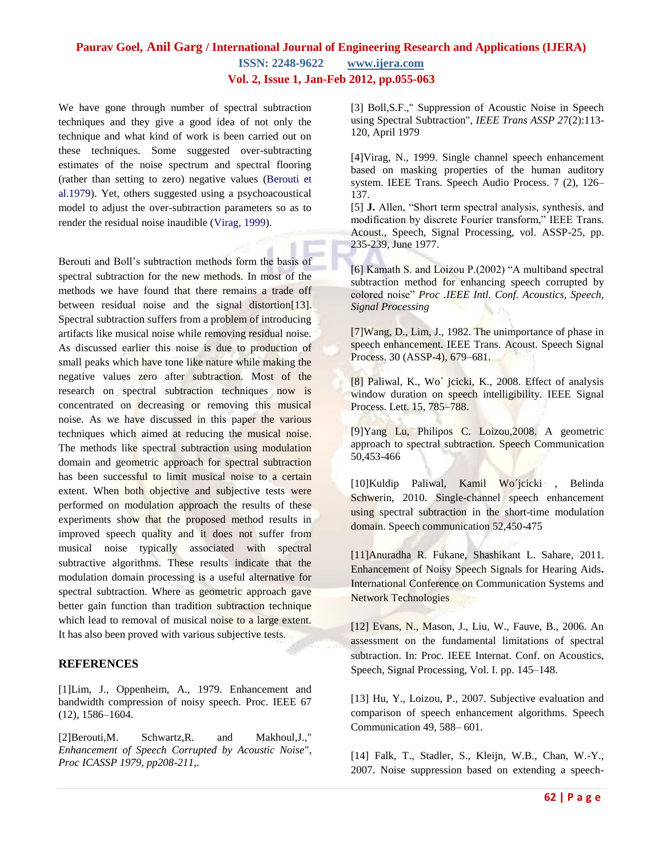# **Paurav Goel, Anil Garg / International Journal of Engineering Research and Applications (IJERA) ISSN: 2248-9622 www.ijera.com**

**Vol. 2, Issue 1, Jan-Feb 2012, pp.055-063**

We have gone through number of spectral subtraction techniques and they give a good idea of not only the technique and what kind of work is been carried out on these techniques. Some suggested over-subtracting estimates of the noise spectrum and spectral flooring (rather than setting to zero) negative values (Berouti et al.1979). Yet, others suggested using a psychoacoustical model to adjust the over-subtraction parameters so as to render the residual noise inaudible (Virag, 1999).

Berouti and Boll's subtraction methods form the basis of spectral subtraction for the new methods. In most of the methods we have found that there remains a trade off between residual noise and the signal distortion<sup>[13]</sup>. Spectral subtraction suffers from a problem of introducing artifacts like musical noise while removing residual noise. As discussed earlier this noise is due to production of small peaks which have tone like nature while making the negative values zero after subtraction. Most of the research on spectral subtraction techniques now is concentrated on decreasing or removing this musical noise. As we have discussed in this paper the various techniques which aimed at reducing the musical noise. The methods like spectral subtraction using modulation domain and geometric approach for spectral subtraction has been successful to limit musical noise to a certain extent. When both objective and subjective tests were performed on modulation approach the results of these experiments show that the proposed method results in improved speech quality and it does not suffer from musical noise typically associated with spectral subtractive algorithms. These results indicate that the modulation domain processing is a useful alternative for spectral subtraction. Where as geometric approach gave better gain function than tradition subtraction technique which lead to removal of musical noise to a large extent. It has also been proved with various subjective tests.

#### **REFERENCES**

[1]Lim, J., Oppenheim, A., 1979. Enhancement and bandwidth compression of noisy speech. Proc. IEEE 67 (12), 1586–1604.

[2]Berouti,M. Schwartz,R. and Makhoul,J.," *Enhancement of Speech Corrupted by Acoustic Noise*", *Proc ICASSP 1979, pp208-211*,.

[3] Boll,S.F.," Suppression of Acoustic Noise in Speech using Spectral Subtraction", *IEEE Trans ASSP 2*7(2):113- 120, April 1979

[4]Virag, N., 1999. Single channel speech enhancement based on masking properties of the human auditory system. IEEE Trans. Speech Audio Process. 7 (2), 126– 137.

[5] **J.** Allen, "Short term spectral analysis, synthesis, and modification by discrete Fourier transform," IEEE Trans. Acoust., Speech, Signal Processing, vol. ASSP-25, pp. 235-239, June 1977.

[6] Kamath S. and Loizou P.(2002) "A multiband spectral subtraction method for enhancing speech corrupted by colored noise" *Proc .IEEE Intl. Conf. Acoustics, Speech, Signal Processing*

[7]Wang, D., Lim, J., 1982. The unimportance of phase in speech enhancement. IEEE Trans. Acoust. Speech Signal Process. 30 (ASSP-4), 679–681.

[8] Paliwal, K., Wo´ jcicki, K., 2008. Effect of analysis window duration on speech intelligibility. IEEE Signal Process. Lett. 15, 785–788.

[9]Yang Lu, Philipos C. Loizou,2008. A geometric approach to spectral subtraction. Speech Communication 50,453-466

[10]Kuldip Paliwal, Kamil Wo´jcicki , Belinda Schwerin, 2010. Single-channel speech enhancement using spectral subtraction in the short-time modulation domain. Speech communication 52,450-475

[11]Anuradha R. Fukane, Shashikant L. Sahare, 2011. Enhancement of Noisy Speech Signals for Hearing Aids**.** International Conference on Communication Systems and Network Technologies

[12] Evans, N., Mason, J., Liu, W., Fauve, B., 2006. An assessment on the fundamental limitations of spectral subtraction. In: Proc. IEEE Internat. Conf. on Acoustics, Speech, Signal Processing, Vol. I. pp. 145–148.

[13] Hu, Y., Loizou, P., 2007. Subjective evaluation and comparison of speech enhancement algorithms. Speech Communication 49, 588– 601.

[14] Falk, T., Stadler, S., Kleijn, W.B., Chan, W.-Y., 2007. Noise suppression based on extending a speech-